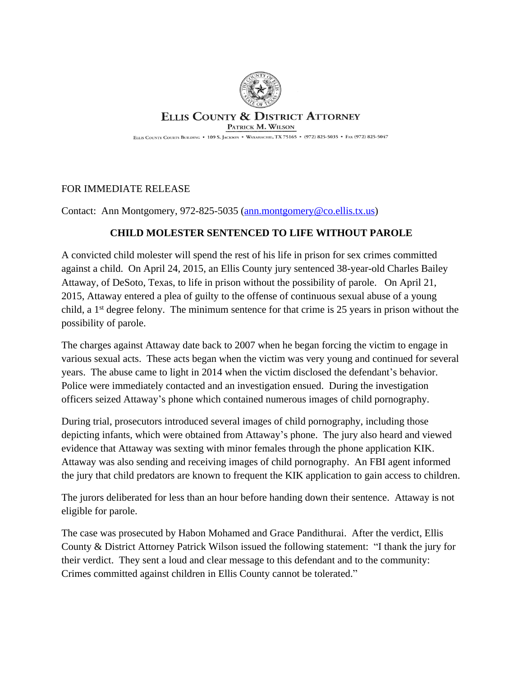

## **ELLIS COUNTY & DISTRICT ATTORNEY** PATRICK M. WILSON

ELLIS COUNTY COURTS BUILDING . 109 S. JACKSON . WAXAHACHIE, TX 75165 . (972) 825-5035 . FAX (972) 825-5047

## FOR IMMEDIATE RELEASE

Contact: Ann Montgomery, 972-825-5035 ([ann.montgomery@co.ellis.tx.us](mailto:ann.montgomery@co.ellis.tx.us))

## **CHILD MOLESTER SENTENCED TO LIFE WITHOUT PAROLE**

A convicted child molester will spend the rest of his life in prison for sex crimes committed against a child. On April 24, 2015, an Ellis County jury sentenced 38-year-old Charles Bailey Attaway, of DeSoto, Texas, to life in prison without the possibility of parole. On April 21, 2015, Attaway entered a plea of guilty to the offense of continuous sexual abuse of a young child, a 1st degree felony. The minimum sentence for that crime is 25 years in prison without the possibility of parole.

The charges against Attaway date back to 2007 when he began forcing the victim to engage in various sexual acts. These acts began when the victim was very young and continued for several years. The abuse came to light in 2014 when the victim disclosed the defendant's behavior. Police were immediately contacted and an investigation ensued. During the investigation officers seized Attaway's phone which contained numerous images of child pornography.

During trial, prosecutors introduced several images of child pornography, including those depicting infants, which were obtained from Attaway's phone. The jury also heard and viewed evidence that Attaway was sexting with minor females through the phone application KIK. Attaway was also sending and receiving images of child pornography. An FBI agent informed the jury that child predators are known to frequent the KIK application to gain access to children.

The jurors deliberated for less than an hour before handing down their sentence. Attaway is not eligible for parole.

The case was prosecuted by Habon Mohamed and Grace Pandithurai. After the verdict, Ellis County & District Attorney Patrick Wilson issued the following statement: "I thank the jury for their verdict. They sent a loud and clear message to this defendant and to the community: Crimes committed against children in Ellis County cannot be tolerated."